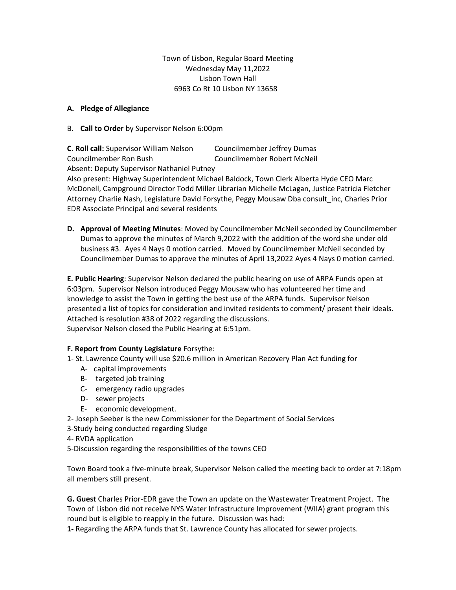Town of Lisbon, Regular Board Meeting Wednesday May 11,2022 Lisbon Town Hall 6963 Co Rt 10 Lisbon NY 13658

## **A. Pledge of Allegiance**

B. **Call to Order** by Supervisor Nelson 6:00pm

**C. Roll call:** Supervisor William Nelson Councilmember Jeffrey Dumas Councilmember Ron Bush Councilmember Robert McNeil Absent: Deputy Supervisor Nathaniel Putney

Also present: Highway Superintendent Michael Baldock, Town Clerk Alberta Hyde CEO Marc McDonell, Campground Director Todd Miller Librarian Michelle McLagan, Justice Patricia Fletcher Attorney Charlie Nash, Legislature David Forsythe, Peggy Mousaw Dba consult\_inc, Charles Prior EDR Associate Principal and several residents

**D. Approval of Meeting Minutes**: Moved by Councilmember McNeil seconded by Councilmember Dumas to approve the minutes of March 9,2022 with the addition of the word she under old business #3. Ayes 4 Nays 0 motion carried. Moved by Councilmember McNeil seconded by Councilmember Dumas to approve the minutes of April 13,2022 Ayes 4 Nays 0 motion carried.

**E. Public Hearing**: Supervisor Nelson declared the public hearing on use of ARPA Funds open at 6:03pm. Supervisor Nelson introduced Peggy Mousaw who has volunteered her time and knowledge to assist the Town in getting the best use of the ARPA funds. Supervisor Nelson presented a list of topics for consideration and invited residents to comment/ present their ideals. Attached is resolution #38 of 2022 regarding the discussions. Supervisor Nelson closed the Public Hearing at 6:51pm.

# **F. Report from County Legislature** Forsythe:

- 1- St. Lawrence County will use \$20.6 million in American Recovery Plan Act funding for
	- A- capital improvements
	- B- targeted job training
	- C- emergency radio upgrades
	- D- sewer projects
	- E- economic development.
- 2- Joseph Seeber is the new Commissioner for the Department of Social Services
- 3-Study being conducted regarding Sludge
- 4- RVDA application
- 5-Discussion regarding the responsibilities of the towns CEO

Town Board took a five-minute break, Supervisor Nelson called the meeting back to order at 7:18pm all members still present.

**G. Guest** Charles Prior-EDR gave the Town an update on the Wastewater Treatment Project. The Town of Lisbon did not receive NYS Water Infrastructure Improvement (WIIA) grant program this round but is eligible to reapply in the future. Discussion was had:

**1-** Regarding the ARPA funds that St. Lawrence County has allocated for sewer projects.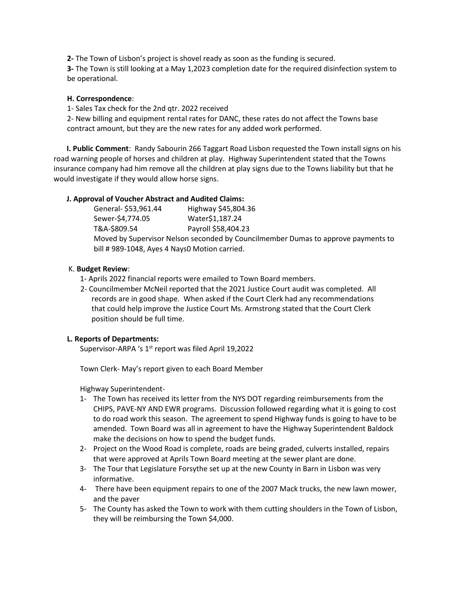**2-** The Town of Lisbon's project is shovel ready as soon as the funding is secured.

**3-** The Town is still looking at a May 1,2023 completion date for the required disinfection system to be operational.

## **H. Correspondence**:

1- Sales Tax check for the 2nd qtr. 2022 received

2- New billing and equipment rental rates for DANC, these rates do not affect the Towns base contract amount, but they are the new rates for any added work performed.

 **I. Public Comment**: Randy Sabourin 266 Taggart Road Lisbon requested the Town install signs on his road warning people of horses and children at play. Highway Superintendent stated that the Towns insurance company had him remove all the children at play signs due to the Towns liability but that he would investigate if they would allow horse signs.

## **J. Approval of Voucher Abstract and Audited Claims:**

| General- \$53,961.44                                                              | Highway \$45,804.36 |
|-----------------------------------------------------------------------------------|---------------------|
| Sewer-\$4,774.05                                                                  | Water\$1,187.24     |
| T&A-\$809.54                                                                      | Payroll \$58,404.23 |
| Moved by Supervisor Nelson seconded by Councilmember Dumas to approve payments to |                     |
| bill #989-1048, Ayes 4 Nays0 Motion carried.                                      |                     |

## K. **Budget Review**:

- 1- Aprils 2022 financial reports were emailed to Town Board members.
- 2- Councilmember McNeil reported that the 2021 Justice Court audit was completed. All records are in good shape. When asked if the Court Clerk had any recommendations that could help improve the Justice Court Ms. Armstrong stated that the Court Clerk position should be full time.

## **L. Reports of Departments:**

Supervisor-ARPA 's 1<sup>st</sup> report was filed April 19,2022

Town Clerk- May's report given to each Board Member

Highway Superintendent-

- 1- The Town has received its letter from the NYS DOT regarding reimbursements from the CHIPS, PAVE-NY AND EWR programs. Discussion followed regarding what it is going to cost to do road work this season. The agreement to spend Highway funds is going to have to be amended. Town Board was all in agreement to have the Highway Superintendent Baldock make the decisions on how to spend the budget funds.
- 2- Project on the Wood Road is complete, roads are being graded, culverts installed, repairs that were approved at Aprils Town Board meeting at the sewer plant are done.
- 3- The Tour that Legislature Forsythe set up at the new County in Barn in Lisbon was very informative.
- 4- There have been equipment repairs to one of the 2007 Mack trucks, the new lawn mower, and the paver
- 5- The County has asked the Town to work with them cutting shoulders in the Town of Lisbon, they will be reimbursing the Town \$4,000.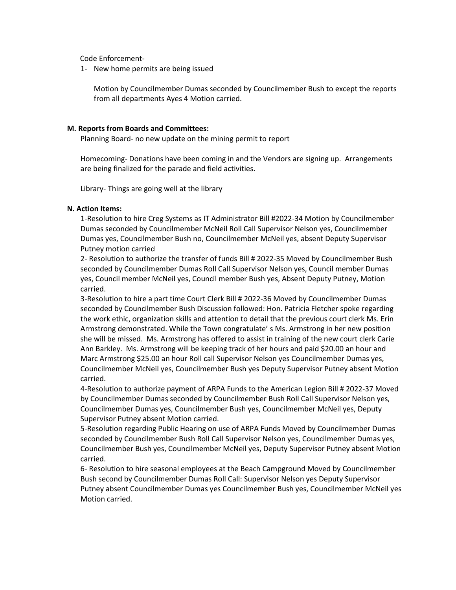Code Enforcement-

1- New home permits are being issued

Motion by Councilmember Dumas seconded by Councilmember Bush to except the reports from all departments Ayes 4 Motion carried.

#### **M. Reports from Boards and Committees:**

Planning Board- no new update on the mining permit to report

Homecoming- Donations have been coming in and the Vendors are signing up. Arrangements are being finalized for the parade and field activities.

Library- Things are going well at the library

#### **N. Action Items:**

1-Resolution to hire Creg Systems as IT Administrator Bill #2022-34 Motion by Councilmember Dumas seconded by Councilmember McNeil Roll Call Supervisor Nelson yes, Councilmember Dumas yes, Councilmember Bush no, Councilmember McNeil yes, absent Deputy Supervisor Putney motion carried

2- Resolution to authorize the transfer of funds Bill # 2022-35 Moved by Councilmember Bush seconded by Councilmember Dumas Roll Call Supervisor Nelson yes, Council member Dumas yes, Council member McNeil yes, Council member Bush yes, Absent Deputy Putney, Motion carried.

3-Resolution to hire a part time Court Clerk Bill # 2022-36 Moved by Councilmember Dumas seconded by Councilmember Bush Discussion followed: Hon. Patricia Fletcher spoke regarding the work ethic, organization skills and attention to detail that the previous court clerk Ms. Erin Armstrong demonstrated. While the Town congratulate' s Ms. Armstrong in her new position she will be missed. Ms. Armstrong has offered to assist in training of the new court clerk Carie Ann Barkley. Ms. Armstrong will be keeping track of her hours and paid \$20.00 an hour and Marc Armstrong \$25.00 an hour Roll call Supervisor Nelson yes Councilmember Dumas yes, Councilmember McNeil yes, Councilmember Bush yes Deputy Supervisor Putney absent Motion carried.

4-Resolution to authorize payment of ARPA Funds to the American Legion Bill # 2022-37 Moved by Councilmember Dumas seconded by Councilmember Bush Roll Call Supervisor Nelson yes, Councilmember Dumas yes, Councilmember Bush yes, Councilmember McNeil yes, Deputy Supervisor Putney absent Motion carried.

5-Resolution regarding Public Hearing on use of ARPA Funds Moved by Councilmember Dumas seconded by Councilmember Bush Roll Call Supervisor Nelson yes, Councilmember Dumas yes, Councilmember Bush yes, Councilmember McNeil yes, Deputy Supervisor Putney absent Motion carried.

6- Resolution to hire seasonal employees at the Beach Campground Moved by Councilmember Bush second by Councilmember Dumas Roll Call: Supervisor Nelson yes Deputy Supervisor Putney absent Councilmember Dumas yes Councilmember Bush yes, Councilmember McNeil yes Motion carried.